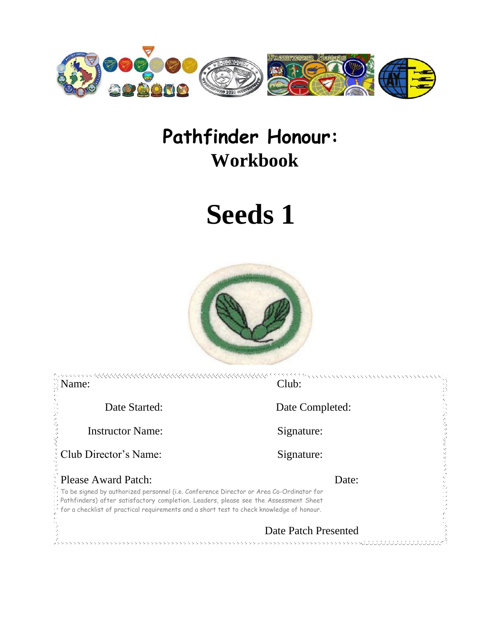

# **Pathfinder Honour: Workbook**

# **Seeds 1**



| $\Im$ Name:                                                                                                                                                                                                                                                                 | Club:                |  |
|-----------------------------------------------------------------------------------------------------------------------------------------------------------------------------------------------------------------------------------------------------------------------------|----------------------|--|
| Date Started:                                                                                                                                                                                                                                                               | Date Completed:      |  |
| <b>Instructor Name:</b>                                                                                                                                                                                                                                                     | Signature:           |  |
| : Club Director's Name:                                                                                                                                                                                                                                                     | Signature:           |  |
| <b>E</b> Please Award Patch:                                                                                                                                                                                                                                                | Date:                |  |
| To be signed by authorized personnel (i.e. Conference Director or Area Co-Ordinator for<br>Pathfinders) after satisfactory completion. Leaders, please see the Assessment Sheet<br>for a checklist of practical requirements and a short test to check knowledge of honour. |                      |  |
|                                                                                                                                                                                                                                                                             | Date Patch Presented |  |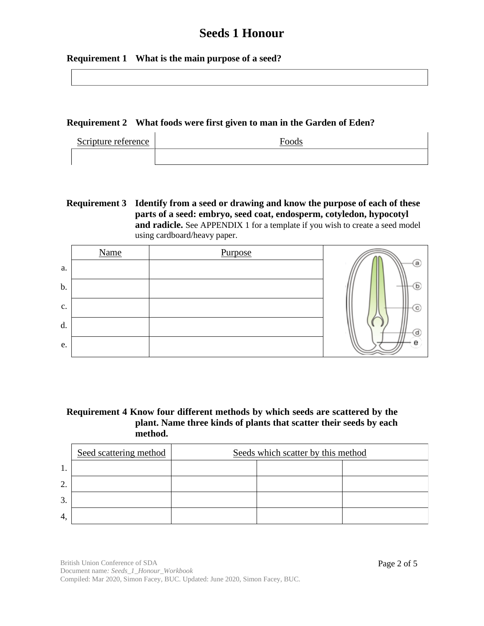#### **Requirement 1 What is the main purpose of a seed?**

#### **Requirement 2 What foods were first given to man in the Garden of Eden?**

| Scripture reference | $\Gamma$ ood. |
|---------------------|---------------|
|                     |               |

#### **Requirement 3 Identify from a seed or drawing and know the purpose of each of these parts of a seed: embryo, seed coat, endosperm, cotyledon, hypocotyl and radicle.** See APPENDIX 1 for a template if you wish to create a seed model using cardboard/heavy paper.

|               | <b>Name</b> | Purpose |    |
|---------------|-------------|---------|----|
| a.            |             |         | (a |
| $\mathbf b$ . |             |         | b  |
| c.            |             |         | с  |
| d.            |             |         | d  |
| e.            |             |         | е  |

#### **Requirement 4 Know four different methods by which seeds are scattered by the plant. Name three kinds of plants that scatter their seeds by each method.**

|    | Seed scattering method | Seeds which scatter by this method |  |  |  |  |
|----|------------------------|------------------------------------|--|--|--|--|
| 1. |                        |                                    |  |  |  |  |
| 2. |                        |                                    |  |  |  |  |
| 3. |                        |                                    |  |  |  |  |
| 4, |                        |                                    |  |  |  |  |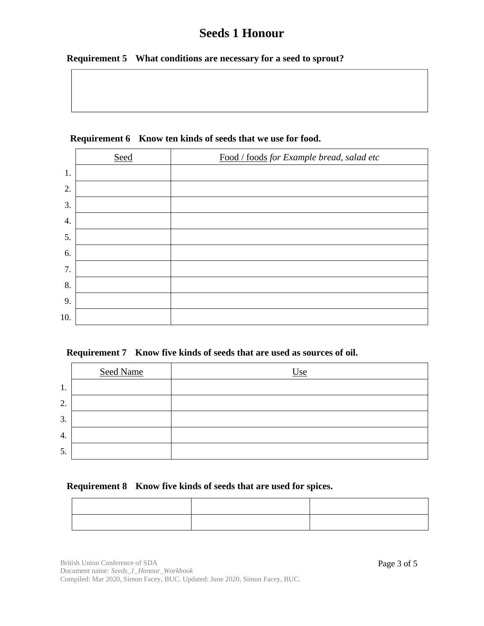#### **Requirement 5 What conditions are necessary for a seed to sprout?**

|     | Seed | Food / foods for Example bread, salad etc |
|-----|------|-------------------------------------------|
| 1.  |      |                                           |
| 2.  |      |                                           |
| 3.  |      |                                           |
| 4.  |      |                                           |
| 5.  |      |                                           |
| 6.  |      |                                           |
| 7.  |      |                                           |
| 8.  |      |                                           |
| 9.  |      |                                           |
| 10. |      |                                           |

#### **Requirement 6 Know ten kinds of seeds that we use for food.**

|  |  |  |  |  |  |  |  |  | Requirement 7 Know five kinds of seeds that are used as sources of oil. |  |
|--|--|--|--|--|--|--|--|--|-------------------------------------------------------------------------|--|
|--|--|--|--|--|--|--|--|--|-------------------------------------------------------------------------|--|

|    | <b>Seed Name</b> | Use |
|----|------------------|-----|
| 1. |                  |     |
| 2. |                  |     |
| 3. |                  |     |
| 4. |                  |     |
| 5. |                  |     |

#### **Requirement 8 Know five kinds of seeds that are used for spices.**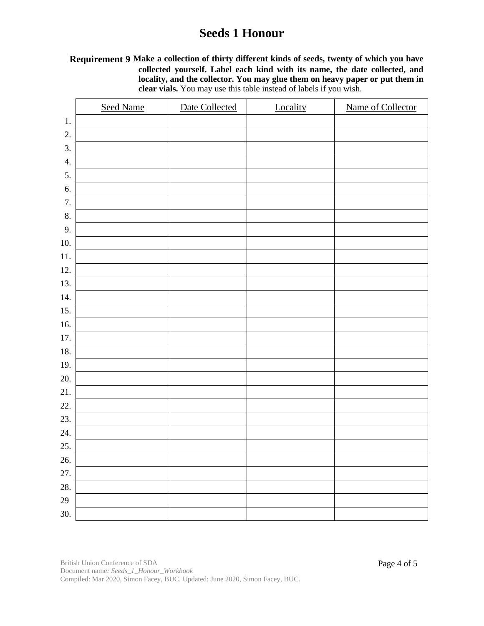#### **Requirement 9 Make a collection of thirty different kinds of seeds, twenty of which you have collected yourself. Label each kind with its name, the date collected, and locality, and the collector. You may glue them on heavy paper or put them in clear vials.** You may use this table instead of labels if you wish.

|                  | <b>Seed Name</b> | Date Collected | Locality | Name of Collector |
|------------------|------------------|----------------|----------|-------------------|
| 1.               |                  |                |          |                   |
| 2.               |                  |                |          |                   |
| 3.               |                  |                |          |                   |
| $\overline{4}$ . |                  |                |          |                   |
| 5.               |                  |                |          |                   |
| 6.               |                  |                |          |                   |
| 7.               |                  |                |          |                   |
| 8.               |                  |                |          |                   |
| 9.               |                  |                |          |                   |
| 10.              |                  |                |          |                   |
| 11.              |                  |                |          |                   |
| 12.              |                  |                |          |                   |
| 13.              |                  |                |          |                   |
| 14.              |                  |                |          |                   |
| 15.              |                  |                |          |                   |
| 16.              |                  |                |          |                   |
| 17.              |                  |                |          |                   |
| 18.              |                  |                |          |                   |
| 19.              |                  |                |          |                   |
| 20.              |                  |                |          |                   |
| 21.              |                  |                |          |                   |
| 22.              |                  |                |          |                   |
| 23.              |                  |                |          |                   |
| 24.              |                  |                |          |                   |
| 25.              |                  |                |          |                   |
| 26.              |                  |                |          |                   |
| 27.              |                  |                |          |                   |
| 28.              |                  |                |          |                   |
| 29               |                  |                |          |                   |
| 30.              |                  |                |          |                   |